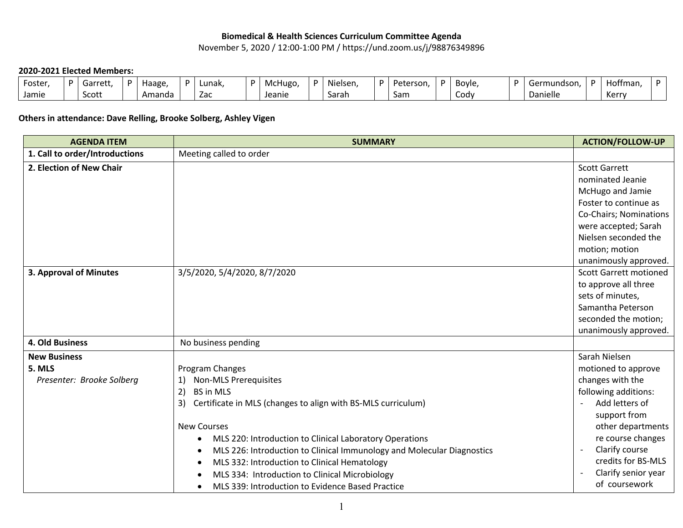## **Biomedical & Health Sciences Curriculum Committee Agenda**

November 5, 2020 / 12:00-1:00 PM / https://und.zoom.us/j/98876349896

## **2020-2021 Elected Members:**

| Foster | D | Garrett | Haage  | D | Lunak.                          | McHugo | ı. | Nielsen, | Peterson, | Bovle. | Germundson | $\sim$<br>Hoffman. |  |
|--------|---|---------|--------|---|---------------------------------|--------|----|----------|-----------|--------|------------|--------------------|--|
| Jamie  |   | Scott   | Amanda |   | $\overline{\phantom{a}}$<br>ZdC | Jeanie |    | Sarah    | Sam       | CODV   | Danielle   | <i>Vorr</i><br>NG. |  |

## **Others in attendance: Dave Relling, Brooke Solberg, Ashley Vigen**

| <b>AGENDA ITEM</b>             | <b>SUMMARY</b>                                                         | <b>ACTION/FOLLOW-UP</b>                    |
|--------------------------------|------------------------------------------------------------------------|--------------------------------------------|
| 1. Call to order/Introductions | Meeting called to order                                                |                                            |
| 2. Election of New Chair       |                                                                        | <b>Scott Garrett</b>                       |
|                                |                                                                        | nominated Jeanie                           |
|                                |                                                                        | McHugo and Jamie                           |
|                                |                                                                        | Foster to continue as                      |
|                                |                                                                        | Co-Chairs; Nominations                     |
|                                |                                                                        | were accepted; Sarah                       |
|                                |                                                                        | Nielsen seconded the                       |
|                                |                                                                        | motion; motion                             |
|                                |                                                                        | unanimously approved.                      |
| 3. Approval of Minutes         | 3/5/2020, 5/4/2020, 8/7/2020                                           | <b>Scott Garrett motioned</b>              |
|                                |                                                                        | to approve all three                       |
|                                |                                                                        | sets of minutes,                           |
|                                |                                                                        | Samantha Peterson                          |
|                                |                                                                        | seconded the motion;                       |
|                                |                                                                        | unanimously approved.                      |
| 4. Old Business                | No business pending                                                    |                                            |
| <b>New Business</b>            |                                                                        | Sarah Nielsen                              |
| 5. MLS                         | Program Changes                                                        | motioned to approve                        |
| Presenter: Brooke Solberg      | <b>Non-MLS Prerequisites</b><br>1)                                     | changes with the                           |
|                                | 2)<br><b>BS in MLS</b>                                                 | following additions:                       |
|                                | 3)<br>Certificate in MLS (changes to align with BS-MLS curriculum)     | Add letters of                             |
|                                |                                                                        | support from                               |
|                                | <b>New Courses</b>                                                     | other departments                          |
|                                | MLS 220: Introduction to Clinical Laboratory Operations<br>$\bullet$   | re course changes                          |
|                                | MLS 226: Introduction to Clinical Immunology and Molecular Diagnostics | Clarify course<br>$\overline{\phantom{a}}$ |
|                                | MLS 332: Introduction to Clinical Hematology<br>$\bullet$              | credits for BS-MLS                         |
|                                | MLS 334: Introduction to Clinical Microbiology                         | Clarify senior year                        |
|                                | MLS 339: Introduction to Evidence Based Practice<br>$\bullet$          | of coursework                              |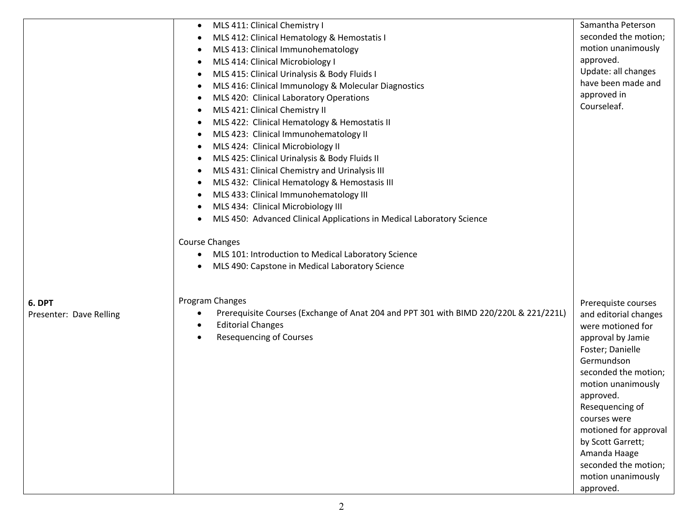| MLS 411: Clinical Chemistry I<br>$\bullet$                                                                                    | Samantha Peterson                     |
|-------------------------------------------------------------------------------------------------------------------------------|---------------------------------------|
| MLS 412: Clinical Hematology & Hemostatis I<br>٠                                                                              | seconded the motion;                  |
| MLS 413: Clinical Immunohematology<br>٠                                                                                       | motion unanimously                    |
| MLS 414: Clinical Microbiology I<br>٠                                                                                         | approved.                             |
| MLS 415: Clinical Urinalysis & Body Fluids I<br>$\bullet$                                                                     | Update: all changes                   |
| MLS 416: Clinical Immunology & Molecular Diagnostics<br>٠                                                                     | have been made and                    |
| MLS 420: Clinical Laboratory Operations<br>٠                                                                                  | approved in                           |
| MLS 421: Clinical Chemistry II<br>$\bullet$                                                                                   | Courseleaf.                           |
| MLS 422: Clinical Hematology & Hemostatis II<br>٠                                                                             |                                       |
| MLS 423: Clinical Immunohematology II<br>٠                                                                                    |                                       |
| MLS 424: Clinical Microbiology II<br>$\bullet$                                                                                |                                       |
| MLS 425: Clinical Urinalysis & Body Fluids II<br>٠                                                                            |                                       |
| MLS 431: Clinical Chemistry and Urinalysis III<br>٠                                                                           |                                       |
| MLS 432: Clinical Hematology & Hemostasis III<br>$\bullet$                                                                    |                                       |
| MLS 433: Clinical Immunohematology III<br>٠                                                                                   |                                       |
| MLS 434: Clinical Microbiology III<br>٠                                                                                       |                                       |
| MLS 450: Advanced Clinical Applications in Medical Laboratory Science<br>٠                                                    |                                       |
|                                                                                                                               |                                       |
| <b>Course Changes</b>                                                                                                         |                                       |
| MLS 101: Introduction to Medical Laboratory Science<br>$\bullet$                                                              |                                       |
| MLS 490: Capstone in Medical Laboratory Science<br>٠                                                                          |                                       |
|                                                                                                                               |                                       |
| Program Changes<br>6. DPT                                                                                                     | Prerequiste courses                   |
| Prerequisite Courses (Exchange of Anat 204 and PPT 301 with BIMD 220/220L & 221/221L)<br>Presenter: Dave Relling<br>$\bullet$ | and editorial changes                 |
| <b>Editorial Changes</b><br>$\bullet$                                                                                         | were motioned for                     |
| <b>Resequencing of Courses</b><br>$\bullet$                                                                                   | approval by Jamie                     |
|                                                                                                                               | Foster; Danielle                      |
|                                                                                                                               | Germundson                            |
|                                                                                                                               | seconded the motion;                  |
|                                                                                                                               | motion unanimously                    |
|                                                                                                                               | approved.                             |
|                                                                                                                               | Resequencing of                       |
|                                                                                                                               | courses were<br>motioned for approval |
|                                                                                                                               | by Scott Garrett;                     |
|                                                                                                                               | Amanda Haage                          |
|                                                                                                                               | seconded the motion;                  |
|                                                                                                                               |                                       |
|                                                                                                                               | motion unanimously                    |